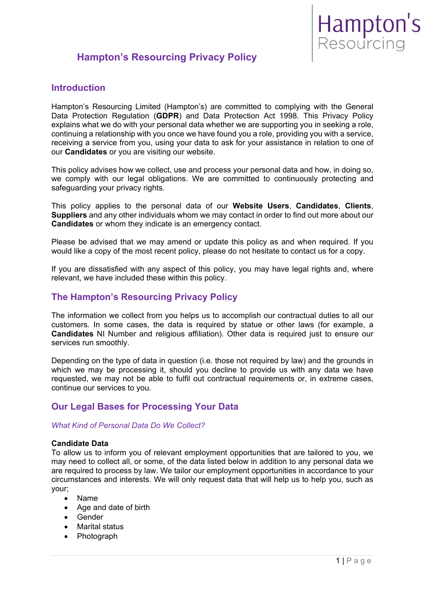# **Hampton's Resourcing Privacy Policy**

# **Introduction**

Hampton's Resourcing Limited (Hampton's) are committed to complying with the General Data Protection Regulation (**GDPR**) and Data Protection Act 1998. This Privacy Policy explains what we do with your personal data whether we are supporting you in seeking a role, continuing a relationship with you once we have found you a role, providing you with a service, receiving a service from you, using your data to ask for your assistance in relation to one of our **Candidates** or you are visiting our website.

This policy advises how we collect, use and process your personal data and how, in doing so, we comply with our legal obligations. We are committed to continuously protecting and safeguarding your privacy rights.

This policy applies to the personal data of our **Website Users**, **Candidates**, **Clients**, **Suppliers** and any other individuals whom we may contact in order to find out more about our **Candidates** or whom they indicate is an emergency contact.

Please be advised that we may amend or update this policy as and when required. If you would like a copy of the most recent policy, please do not hesitate to contact us for a copy.

If you are dissatisfied with any aspect of this policy, you may have legal rights and, where relevant, we have included these within this policy.

# **The Hampton's Resourcing Privacy Policy**

The information we collect from you helps us to accomplish our contractual duties to all our customers. In some cases, the data is required by statue or other laws (for example, a **Candidates** NI Number and religious affiliation). Other data is required just to ensure our services run smoothly.

Depending on the type of data in question (i.e. those not required by law) and the grounds in which we may be processing it, should you decline to provide us with any data we have requested, we may not be able to fulfil out contractual requirements or, in extreme cases, continue our services to you.

# **Our Legal Bases for Processing Your Data**

## *What Kind of Personal Data Do We Collect?*

## **Candidate Data**

To allow us to inform you of relevant employment opportunities that are tailored to you, we may need to collect all, or some, of the data listed below in addition to any personal data we are required to process by law. We tailor our employment opportunities in accordance to your circumstances and interests. We will only request data that will help us to help you, such as your;

- Name
- Age and date of birth
- Gender
- Marital status
- Photograph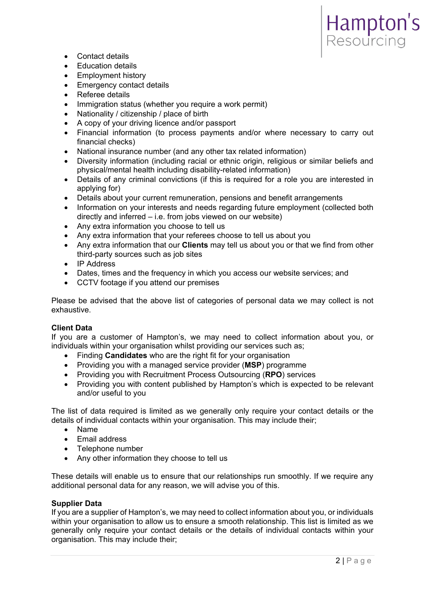- Contact details
- Education details
- Employment history
- Emergency contact details
- Referee details
- Immigration status (whether you require a work permit)
- Nationality / citizenship / place of birth
- A copy of your driving licence and/or passport
- Financial information (to process payments and/or where necessary to carry out financial checks)
- National insurance number (and any other tax related information)
- Diversity information (including racial or ethnic origin, religious or similar beliefs and physical/mental health including disability-related information)
- Details of any criminal convictions (if this is required for a role you are interested in applying for)
- Details about your current remuneration, pensions and benefit arrangements
- Information on your interests and needs regarding future employment (collected both directly and inferred – i.e. from jobs viewed on our website)
- Any extra information you choose to tell us
- Any extra information that your referees choose to tell us about you
- Any extra information that our **Clients** may tell us about you or that we find from other third-party sources such as job sites
- IP Address
- Dates, times and the frequency in which you access our website services; and
- CCTV footage if you attend our premises

Please be advised that the above list of categories of personal data we may collect is not exhaustive.

#### **Client Data**

If you are a customer of Hampton's, we may need to collect information about you, or individuals within your organisation whilst providing our services such as;

- Finding **Candidates** who are the right fit for your organisation
- Providing you with a managed service provider (**MSP**) programme
- Providing you with Recruitment Process Outsourcing (**RPO**) services
- Providing you with content published by Hampton's which is expected to be relevant and/or useful to you

The list of data required is limited as we generally only require your contact details or the details of individual contacts within your organisation. This may include their;

- Name
- Email address
- Telephone number
- Any other information they choose to tell us

These details will enable us to ensure that our relationships run smoothly. If we require any additional personal data for any reason, we will advise you of this.

#### **Supplier Data**

If you are a supplier of Hampton's, we may need to collect information about you, or individuals within your organisation to allow us to ensure a smooth relationship. This list is limited as we generally only require your contact details or the details of individual contacts within your organisation. This may include their;

Hampton's<br>Resourcing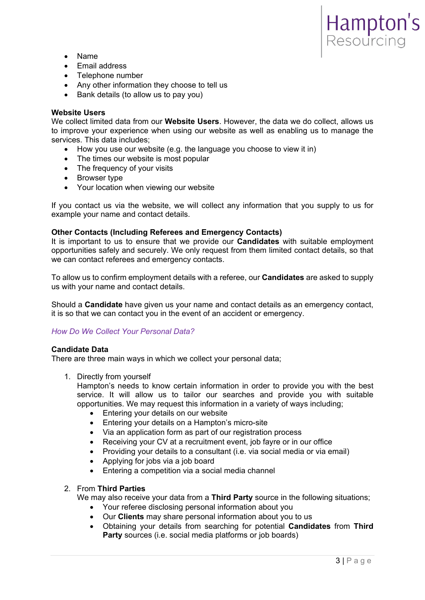

- Name
- Email address
- Telephone number
- Any other information they choose to tell us
- Bank details (to allow us to pay you)

### **Website Users**

We collect limited data from our **Website Users**. However, the data we do collect, allows us to improve your experience when using our website as well as enabling us to manage the services. This data includes;

- How you use our website (e.g. the language you choose to view it in)
- The times our website is most popular
- The frequency of your visits
- Browser type
- Your location when viewing our website

If you contact us via the website, we will collect any information that you supply to us for example your name and contact details.

## **Other Contacts (Including Referees and Emergency Contacts)**

It is important to us to ensure that we provide our **Candidates** with suitable employment opportunities safely and securely. We only request from them limited contact details, so that we can contact referees and emergency contacts.

To allow us to confirm employment details with a referee, our **Candidates** are asked to supply us with your name and contact details.

Should a **Candidate** have given us your name and contact details as an emergency contact, it is so that we can contact you in the event of an accident or emergency.

## *How Do We Collect Your Personal Data?*

## **Candidate Data**

There are three main ways in which we collect your personal data;

1. Directly from yourself

Hampton's needs to know certain information in order to provide you with the best service. It will allow us to tailor our searches and provide you with suitable opportunities. We may request this information in a variety of ways including;

- Entering your details on our website
- Entering your details on a Hampton's micro-site
- Via an application form as part of our registration process
- Receiving your CV at a recruitment event, job fayre or in our office
- Providing your details to a consultant (i.e. via social media or via email)
- Applying for jobs via a job board
- Entering a competition via a social media channel

## 2. From **Third Parties**

We may also receive your data from a **Third Party** source in the following situations;

- Your referee disclosing personal information about you
- Our **Clients** may share personal information about you to us
- Obtaining your details from searching for potential **Candidates** from **Third Party** sources (i.e. social media platforms or job boards)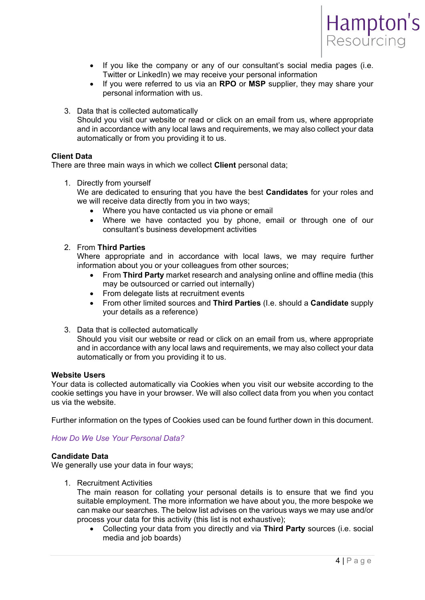

- If you like the company or any of our consultant's social media pages (i.e. Twitter or LinkedIn) we may receive your personal information
- If you were referred to us via an **RPO** or **MSP** supplier, they may share your personal information with us.
- 3. Data that is collected automatically Should you visit our website or read or click on an email from us, where appropriate and in accordance with any local laws and requirements, we may also collect your data automatically or from you providing it to us.

## **Client Data**

There are three main ways in which we collect **Client** personal data;

1. Directly from yourself

We are dedicated to ensuring that you have the best **Candidates** for your roles and we will receive data directly from you in two ways;

- Where you have contacted us via phone or email
- Where we have contacted you by phone, email or through one of our consultant's business development activities

## 2. From **Third Parties**

Where appropriate and in accordance with local laws, we may require further information about you or your colleagues from other sources;

- From **Third Party** market research and analysing online and offline media (this may be outsourced or carried out internally)
- From delegate lists at recruitment events
- From other limited sources and **Third Parties** (I.e. should a **Candidate** supply your details as a reference)
- 3. Data that is collected automatically

Should you visit our website or read or click on an email from us, where appropriate and in accordance with any local laws and requirements, we may also collect your data automatically or from you providing it to us.

#### **Website Users**

Your data is collected automatically via Cookies when you visit our website according to the cookie settings you have in your browser. We will also collect data from you when you contact us via the website.

Further information on the types of Cookies used can be found further down in this document.

## *How Do We Use Your Personal Data?*

#### **Candidate Data**

We generally use your data in four ways;

1. Recruitment Activities

The main reason for collating your personal details is to ensure that we find you suitable employment. The more information we have about you, the more bespoke we can make our searches. The below list advises on the various ways we may use and/or process your data for this activity (this list is not exhaustive);

 Collecting your data from you directly and via **Third Party** sources (i.e. social media and job boards)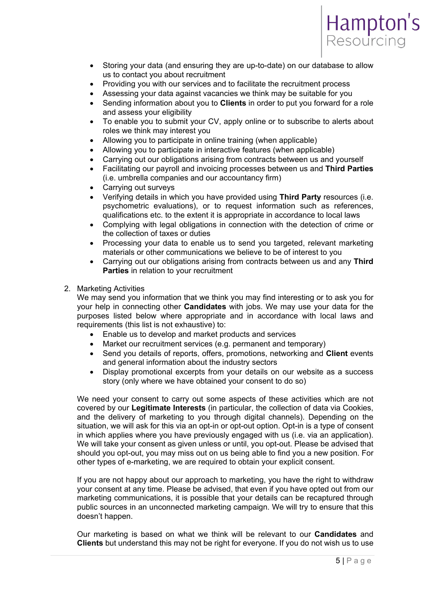

- Storing your data (and ensuring they are up-to-date) on our database to allow us to contact you about recruitment
- Providing you with our services and to facilitate the recruitment process
- Assessing your data against vacancies we think may be suitable for you
- Sending information about you to **Clients** in order to put you forward for a role and assess your eligibility
- To enable you to submit your CV, apply online or to subscribe to alerts about roles we think may interest you
- Allowing you to participate in online training (when applicable)
- Allowing you to participate in interactive features (when applicable)
- Carrying out our obligations arising from contracts between us and yourself
- Facilitating our payroll and invoicing processes between us and **Third Parties**  (i.e. umbrella companies and our accountancy firm)
- Carrying out surveys
- Verifying details in which you have provided using **Third Party** resources (i.e. psychometric evaluations), or to request information such as references, qualifications etc. to the extent it is appropriate in accordance to local laws
- Complying with legal obligations in connection with the detection of crime or the collection of taxes or duties
- Processing your data to enable us to send you targeted, relevant marketing materials or other communications we believe to be of interest to you
- Carrying out our obligations arising from contracts between us and any **Third Parties** in relation to your recruitment

### 2. Marketing Activities

We may send you information that we think you may find interesting or to ask you for your help in connecting other **Candidates** with jobs. We may use your data for the purposes listed below where appropriate and in accordance with local laws and requirements (this list is not exhaustive) to:

- Enable us to develop and market products and services
- Market our recruitment services (e.g. permanent and temporary)
- Send you details of reports, offers, promotions, networking and **Client** events and general information about the industry sectors
- Display promotional excerpts from your details on our website as a success story (only where we have obtained your consent to do so)

We need your consent to carry out some aspects of these activities which are not covered by our **Legitimate Interests** (in particular, the collection of data via Cookies, and the delivery of marketing to you through digital channels). Depending on the situation, we will ask for this via an opt-in or opt-out option. Opt-in is a type of consent in which applies where you have previously engaged with us (i.e. via an application). We will take your consent as given unless or until, you opt-out. Please be advised that should you opt-out, you may miss out on us being able to find you a new position. For other types of e-marketing, we are required to obtain your explicit consent.

If you are not happy about our approach to marketing, you have the right to withdraw your consent at any time. Please be advised, that even if you have opted out from our marketing communications, it is possible that your details can be recaptured through public sources in an unconnected marketing campaign. We will try to ensure that this doesn't happen.

Our marketing is based on what we think will be relevant to our **Candidates** and **Clients** but understand this may not be right for everyone. If you do not wish us to use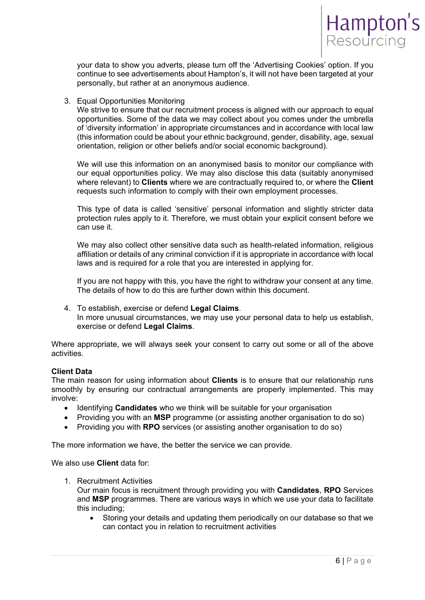

your data to show you adverts, please turn off the 'Advertising Cookies' option. If you continue to see advertisements about Hampton's, it will not have been targeted at your personally, but rather at an anonymous audience.

### 3. Equal Opportunities Monitoring

We strive to ensure that our recruitment process is aligned with our approach to equal opportunities. Some of the data we may collect about you comes under the umbrella of 'diversity information' in appropriate circumstances and in accordance with local law (this information could be about your ethnic background, gender, disability, age, sexual orientation, religion or other beliefs and/or social economic background).

We will use this information on an anonymised basis to monitor our compliance with our equal opportunities policy. We may also disclose this data (suitably anonymised where relevant) to **Clients** where we are contractually required to, or where the **Client** requests such information to comply with their own employment processes.

This type of data is called 'sensitive' personal information and slightly stricter data protection rules apply to it. Therefore, we must obtain your explicit consent before we can use it.

We may also collect other sensitive data such as health-related information, religious affiliation or details of any criminal conviction if it is appropriate in accordance with local laws and is required for a role that you are interested in applying for.

If you are not happy with this, you have the right to withdraw your consent at any time. The details of how to do this are further down within this document.

4. To establish, exercise or defend **Legal Claims**. In more unusual circumstances, we may use your personal data to help us establish, exercise or defend **Legal Claims**.

Where appropriate, we will always seek your consent to carry out some or all of the above activities.

#### **Client Data**

The main reason for using information about **Clients** is to ensure that our relationship runs smoothly by ensuring our contractual arrangements are properly implemented. This may involve:

- Identifying **Candidates** who we think will be suitable for your organisation
- Providing you with an **MSP** programme (or assisting another organisation to do so)
- Providing you with **RPO** services (or assisting another organisation to do so)

The more information we have, the better the service we can provide.

We also use **Client** data for:

1. Recruitment Activities

Our main focus is recruitment through providing you with **Candidates**, **RPO** Services and **MSP** programmes. There are various ways in which we use your data to facilitate this including;

 Storing your details and updating them periodically on our database so that we can contact you in relation to recruitment activities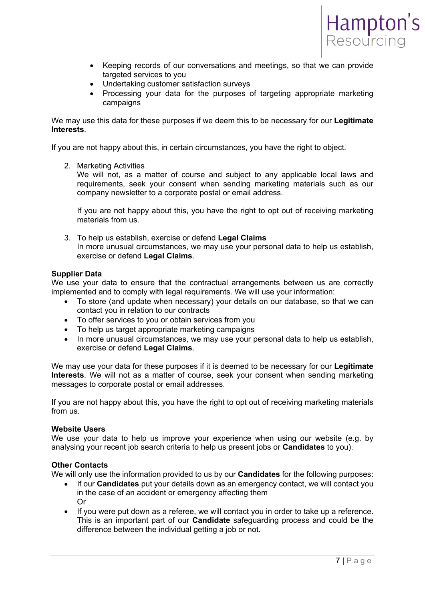

- Keeping records of our conversations and meetings, so that we can provide targeted services to you
- Undertaking customer satisfaction surveys
- Processing your data for the purposes of targeting appropriate marketing campaigns

We may use this data for these purposes if we deem this to be necessary for our **Legitimate Interests**.

If you are not happy about this, in certain circumstances, you have the right to object.

2. Marketing Activities

We will not, as a matter of course and subject to any applicable local laws and requirements, seek your consent when sending marketing materials such as our company newsletter to a corporate postal or email address.

If you are not happy about this, you have the right to opt out of receiving marketing materials from us.

3. To help us establish, exercise or defend **Legal Claims** In more unusual circumstances, we may use your personal data to help us establish, exercise or defend **Legal Claims**.

### **Supplier Data**

We use your data to ensure that the contractual arrangements between us are correctly implemented and to comply with legal requirements. We will use your information:

- To store (and update when necessary) your details on our database, so that we can contact you in relation to our contracts
- To offer services to you or obtain services from you
- To help us target appropriate marketing campaigns
- In more unusual circumstances, we may use your personal data to help us establish, exercise or defend **Legal Claims**.

We may use your data for these purposes if it is deemed to be necessary for our **Legitimate Interests**. We will not as a matter of course, seek your consent when sending marketing messages to corporate postal or email addresses.

If you are not happy about this, you have the right to opt out of receiving marketing materials from us.

#### **Website Users**

We use your data to help us improve your experience when using our website (e.g. by analysing your recent job search criteria to help us present jobs or **Candidates** to you).

### **Other Contacts**

We will only use the information provided to us by our **Candidates** for the following purposes:

- If our **Candidates** put your details down as an emergency contact, we will contact you in the case of an accident or emergency affecting them Or
- If you were put down as a referee, we will contact you in order to take up a reference. This is an important part of our **Candidate** safeguarding process and could be the difference between the individual getting a job or not.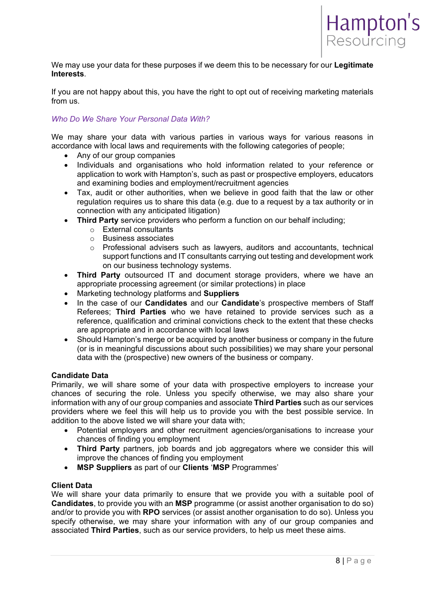

We may use your data for these purposes if we deem this to be necessary for our **Legitimate Interests**.

If you are not happy about this, you have the right to opt out of receiving marketing materials from us.

## *Who Do We Share Your Personal Data With?*

We may share your data with various parties in various ways for various reasons in accordance with local laws and requirements with the following categories of people;

- Any of our group companies
- Individuals and organisations who hold information related to your reference or application to work with Hampton's, such as past or prospective employers, educators and examining bodies and employment/recruitment agencies
- Tax, audit or other authorities, when we believe in good faith that the law or other regulation requires us to share this data (e.g. due to a request by a tax authority or in connection with any anticipated litigation)
- **Third Party** service providers who perform a function on our behalf including;
	- o External consultants
	- o Business associates
	- o Professional advisers such as lawyers, auditors and accountants, technical support functions and IT consultants carrying out testing and development work on our business technology systems.
- **Third Party** outsourced IT and document storage providers, where we have an appropriate processing agreement (or similar protections) in place
- Marketing technology platforms and **Suppliers**
- In the case of our **Candidates** and our **Candidate**'s prospective members of Staff Referees; **Third Parties** who we have retained to provide services such as a reference, qualification and criminal convictions check to the extent that these checks are appropriate and in accordance with local laws
- Should Hampton's merge or be acquired by another business or company in the future (or is in meaningful discussions about such possibilities) we may share your personal data with the (prospective) new owners of the business or company.

#### **Candidate Data**

Primarily, we will share some of your data with prospective employers to increase your chances of securing the role. Unless you specify otherwise, we may also share your information with any of our group companies and associate **Third Parties** such as our services providers where we feel this will help us to provide you with the best possible service. In addition to the above listed we will share your data with;

- Potential employers and other recruitment agencies/organisations to increase your chances of finding you employment
- **Third Party** partners, job boards and job aggregators where we consider this will improve the chances of finding you employment
- **MSP Suppliers** as part of our **Clients** '**MSP** Programmes'

#### **Client Data**

We will share your data primarily to ensure that we provide you with a suitable pool of **Candidates**, to provide you with an **MSP** programme (or assist another organisation to do so) and/or to provide you with **RPO** services (or assist another organisation to do so). Unless you specify otherwise, we may share your information with any of our group companies and associated **Third Parties**, such as our service providers, to help us meet these aims.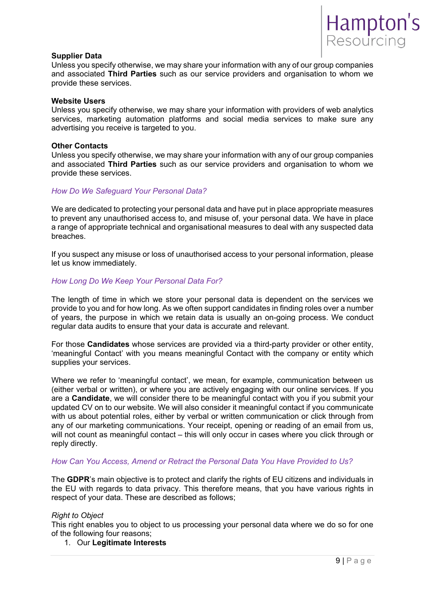

#### **Supplier Data**

Unless you specify otherwise, we may share your information with any of our group companies and associated **Third Parties** such as our service providers and organisation to whom we provide these services.

#### **Website Users**

Unless you specify otherwise, we may share your information with providers of web analytics services, marketing automation platforms and social media services to make sure any advertising you receive is targeted to you.

#### **Other Contacts**

Unless you specify otherwise, we may share your information with any of our group companies and associated **Third Parties** such as our service providers and organisation to whom we provide these services.

#### *How Do We Safeguard Your Personal Data?*

We are dedicated to protecting your personal data and have put in place appropriate measures to prevent any unauthorised access to, and misuse of, your personal data. We have in place a range of appropriate technical and organisational measures to deal with any suspected data breaches.

If you suspect any misuse or loss of unauthorised access to your personal information, please let us know immediately.

#### *How Long Do We Keep Your Personal Data For?*

The length of time in which we store your personal data is dependent on the services we provide to you and for how long. As we often support candidates in finding roles over a number of years, the purpose in which we retain data is usually an on-going process. We conduct regular data audits to ensure that your data is accurate and relevant.

For those **Candidates** whose services are provided via a third-party provider or other entity, 'meaningful Contact' with you means meaningful Contact with the company or entity which supplies your services.

Where we refer to 'meaningful contact', we mean, for example, communication between us (either verbal or written), or where you are actively engaging with our online services. If you are a **Candidate**, we will consider there to be meaningful contact with you if you submit your updated CV on to our website. We will also consider it meaningful contact if you communicate with us about potential roles, either by verbal or written communication or click through from any of our marketing communications. Your receipt, opening or reading of an email from us, will not count as meaningful contact – this will only occur in cases where you click through or reply directly.

#### *How Can You Access, Amend or Retract the Personal Data You Have Provided to Us?*

The **GDPR**'s main objective is to protect and clarify the rights of EU citizens and individuals in the EU with regards to data privacy. This therefore means, that you have various rights in respect of your data. These are described as follows;

#### *Right to Object*

This right enables you to object to us processing your personal data where we do so for one of the following four reasons;

#### 1. Our **Legitimate Interests**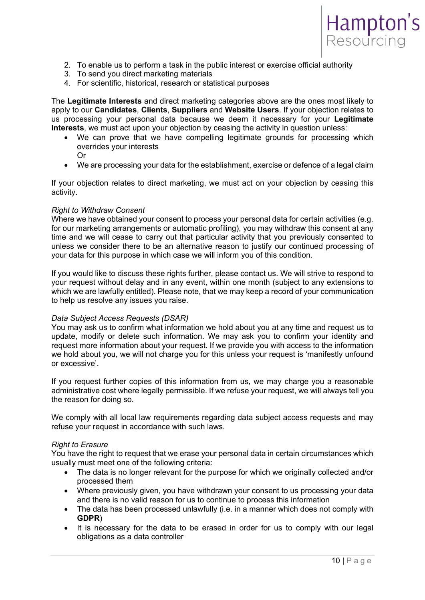

- 2. To enable us to perform a task in the public interest or exercise official authority
- 3. To send you direct marketing materials
- 4. For scientific, historical, research or statistical purposes

The **Legitimate Interests** and direct marketing categories above are the ones most likely to apply to our **Candidates**, **Clients**, **Suppliers** and **Website Users**. If your objection relates to us processing your personal data because we deem it necessary for your **Legitimate Interests**, we must act upon your objection by ceasing the activity in question unless:

- We can prove that we have compelling legitimate grounds for processing which overrides your interests Or
- We are processing your data for the establishment, exercise or defence of a legal claim

If your objection relates to direct marketing, we must act on your objection by ceasing this activity.

#### *Right to Withdraw Consent*

Where we have obtained your consent to process your personal data for certain activities (e.g. for our marketing arrangements or automatic profiling), you may withdraw this consent at any time and we will cease to carry out that particular activity that you previously consented to unless we consider there to be an alternative reason to justify our continued processing of your data for this purpose in which case we will inform you of this condition.

If you would like to discuss these rights further, please contact us. We will strive to respond to your request without delay and in any event, within one month (subject to any extensions to which we are lawfully entitled). Please note, that we may keep a record of your communication to help us resolve any issues you raise.

#### *Data Subject Access Requests (DSAR)*

You may ask us to confirm what information we hold about you at any time and request us to update, modify or delete such information. We may ask you to confirm your identity and request more information about your request. If we provide you with access to the information we hold about you, we will not charge you for this unless your request is 'manifestly unfound or excessive'.

If you request further copies of this information from us, we may charge you a reasonable administrative cost where legally permissible. If we refuse your request, we will always tell you the reason for doing so.

We comply with all local law requirements regarding data subject access requests and may refuse your request in accordance with such laws.

#### *Right to Erasure*

You have the right to request that we erase your personal data in certain circumstances which usually must meet one of the following criteria:

- The data is no longer relevant for the purpose for which we originally collected and/or processed them
- Where previously given, you have withdrawn your consent to us processing your data and there is no valid reason for us to continue to process this information
- The data has been processed unlawfully (i.e. in a manner which does not comply with **GDPR**)
- It is necessary for the data to be erased in order for us to comply with our legal obligations as a data controller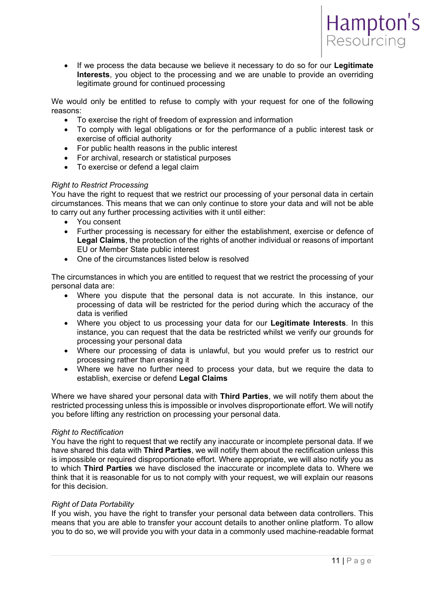

 If we process the data because we believe it necessary to do so for our **Legitimate Interests**, you object to the processing and we are unable to provide an overriding legitimate ground for continued processing

We would only be entitled to refuse to comply with your request for one of the following reasons:

- To exercise the right of freedom of expression and information
- To comply with legal obligations or for the performance of a public interest task or exercise of official authority
- For public health reasons in the public interest
- For archival, research or statistical purposes
- To exercise or defend a legal claim

#### *Right to Restrict Processing*

You have the right to request that we restrict our processing of your personal data in certain circumstances. This means that we can only continue to store your data and will not be able to carry out any further processing activities with it until either:

- You consent
- Further processing is necessary for either the establishment, exercise or defence of **Legal Claims**, the protection of the rights of another individual or reasons of important EU or Member State public interest
- One of the circumstances listed below is resolved

The circumstances in which you are entitled to request that we restrict the processing of your personal data are:

- Where you dispute that the personal data is not accurate. In this instance, our processing of data will be restricted for the period during which the accuracy of the data is verified
- Where you object to us processing your data for our **Legitimate Interests**. In this instance, you can request that the data be restricted whilst we verify our grounds for processing your personal data
- Where our processing of data is unlawful, but you would prefer us to restrict our processing rather than erasing it
- Where we have no further need to process your data, but we require the data to establish, exercise or defend **Legal Claims**

Where we have shared your personal data with **Third Parties**, we will notify them about the restricted processing unless this is impossible or involves disproportionate effort. We will notify you before lifting any restriction on processing your personal data.

#### *Right to Rectification*

You have the right to request that we rectify any inaccurate or incomplete personal data. If we have shared this data with **Third Parties**, we will notify them about the rectification unless this is impossible or required disproportionate effort. Where appropriate, we will also notify you as to which **Third Parties** we have disclosed the inaccurate or incomplete data to. Where we think that it is reasonable for us to not comply with your request, we will explain our reasons for this decision.

#### *Right of Data Portability*

If you wish, you have the right to transfer your personal data between data controllers. This means that you are able to transfer your account details to another online platform. To allow you to do so, we will provide you with your data in a commonly used machine-readable format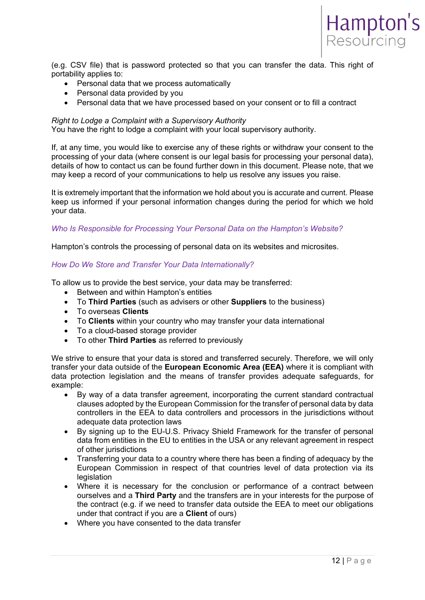

(e.g. CSV file) that is password protected so that you can transfer the data. This right of portability applies to:

- Personal data that we process automatically
- Personal data provided by you
- Personal data that we have processed based on your consent or to fill a contract

#### *Right to Lodge a Complaint with a Supervisory Authority*

You have the right to lodge a complaint with your local supervisory authority.

If, at any time, you would like to exercise any of these rights or withdraw your consent to the processing of your data (where consent is our legal basis for processing your personal data), details of how to contact us can be found further down in this document. Please note, that we may keep a record of your communications to help us resolve any issues you raise.

It is extremely important that the information we hold about you is accurate and current. Please keep us informed if your personal information changes during the period for which we hold your data.

#### *Who Is Responsible for Processing Your Personal Data on the Hampton's Website?*

Hampton's controls the processing of personal data on its websites and microsites.

### *How Do We Store and Transfer Your Data Internationally?*

To allow us to provide the best service, your data may be transferred:

- Between and within Hampton's entities
- To **Third Parties** (such as advisers or other **Suppliers** to the business)
- To overseas **Clients**
- To **Clients** within your country who may transfer your data international
- To a cloud-based storage provider
- To other **Third Parties** as referred to previously

We strive to ensure that your data is stored and transferred securely. Therefore, we will only transfer your data outside of the **European Economic Area (EEA)** where it is compliant with data protection legislation and the means of transfer provides adequate safeguards, for example:

- By way of a data transfer agreement, incorporating the current standard contractual clauses adopted by the European Commission for the transfer of personal data by data controllers in the EEA to data controllers and processors in the jurisdictions without adequate data protection laws
- By signing up to the EU-U.S. Privacy Shield Framework for the transfer of personal data from entities in the EU to entities in the USA or any relevant agreement in respect of other jurisdictions
- Transferring your data to a country where there has been a finding of adequacy by the European Commission in respect of that countries level of data protection via its legislation
- Where it is necessary for the conclusion or performance of a contract between ourselves and a **Third Party** and the transfers are in your interests for the purpose of the contract (e.g. if we need to transfer data outside the EEA to meet our obligations under that contract if you are a **Client** of ours)
- Where you have consented to the data transfer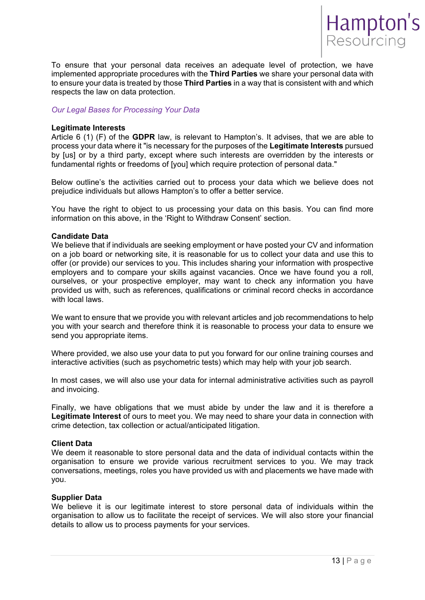

To ensure that your personal data receives an adequate level of protection, we have implemented appropriate procedures with the **Third Parties** we share your personal data with to ensure your data is treated by those **Third Parties** in a way that is consistent with and which respects the law on data protection.

### *Our Legal Bases for Processing Your Data*

#### **Legitimate Interests**

Article 6 (1) (F) of the **GDPR** law, is relevant to Hampton's. It advises, that we are able to process your data where it "is necessary for the purposes of the **Legitimate Interests** pursued by [us] or by a third party, except where such interests are overridden by the interests or fundamental rights or freedoms of [you] which require protection of personal data."

Below outline's the activities carried out to process your data which we believe does not prejudice individuals but allows Hampton's to offer a better service.

You have the right to object to us processing your data on this basis. You can find more information on this above, in the 'Right to Withdraw Consent' section.

#### **Candidate Data**

We believe that if individuals are seeking employment or have posted your CV and information on a job board or networking site, it is reasonable for us to collect your data and use this to offer (or provide) our services to you. This includes sharing your information with prospective employers and to compare your skills against vacancies. Once we have found you a roll, ourselves, or your prospective employer, may want to check any information you have provided us with, such as references, qualifications or criminal record checks in accordance with local laws.

We want to ensure that we provide you with relevant articles and job recommendations to help you with your search and therefore think it is reasonable to process your data to ensure we send you appropriate items.

Where provided, we also use your data to put you forward for our online training courses and interactive activities (such as psychometric tests) which may help with your job search.

In most cases, we will also use your data for internal administrative activities such as payroll and invoicing.

Finally, we have obligations that we must abide by under the law and it is therefore a Legitimate Interest of ours to meet you. We may need to share your data in connection with crime detection, tax collection or actual/anticipated litigation.

#### **Client Data**

We deem it reasonable to store personal data and the data of individual contacts within the organisation to ensure we provide various recruitment services to you. We may track conversations, meetings, roles you have provided us with and placements we have made with you.

#### **Supplier Data**

We believe it is our legitimate interest to store personal data of individuals within the organisation to allow us to facilitate the receipt of services. We will also store your financial details to allow us to process payments for your services.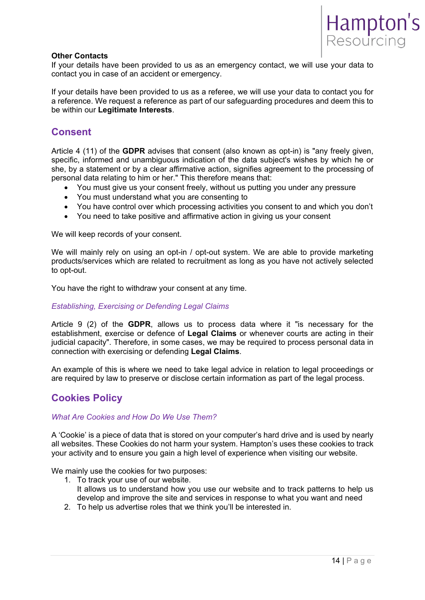

#### **Other Contacts**

If your details have been provided to us as an emergency contact, we will use your data to contact you in case of an accident or emergency.

If your details have been provided to us as a referee, we will use your data to contact you for a reference. We request a reference as part of our safeguarding procedures and deem this to be within our **Legitimate Interests**.

# **Consent**

Article 4 (11) of the **GDPR** advises that consent (also known as opt-in) is "any freely given, specific, informed and unambiguous indication of the data subject's wishes by which he or she, by a statement or by a clear affirmative action, signifies agreement to the processing of personal data relating to him or her." This therefore means that:

- You must give us your consent freely, without us putting you under any pressure
- You must understand what you are consenting to
- You have control over which processing activities you consent to and which you don't
- You need to take positive and affirmative action in giving us your consent

We will keep records of your consent.

We will mainly rely on using an opt-in / opt-out system. We are able to provide marketing products/services which are related to recruitment as long as you have not actively selected to opt-out.

You have the right to withdraw your consent at any time.

#### *Establishing, Exercising or Defending Legal Claims*

Article 9 (2) of the **GDPR**, allows us to process data where it "is necessary for the establishment, exercise or defence of **Legal Claims** or whenever courts are acting in their judicial capacity". Therefore, in some cases, we may be required to process personal data in connection with exercising or defending **Legal Claims**.

An example of this is where we need to take legal advice in relation to legal proceedings or are required by law to preserve or disclose certain information as part of the legal process.

# **Cookies Policy**

### *What Are Cookies and How Do We Use Them?*

A 'Cookie' is a piece of data that is stored on your computer's hard drive and is used by nearly all websites. These Cookies do not harm your system. Hampton's uses these cookies to track your activity and to ensure you gain a high level of experience when visiting our website.

We mainly use the cookies for two purposes:

- 1. To track your use of our website. It allows us to understand how you use our website and to track patterns to help us develop and improve the site and services in response to what you want and need
- 2. To help us advertise roles that we think you'll be interested in.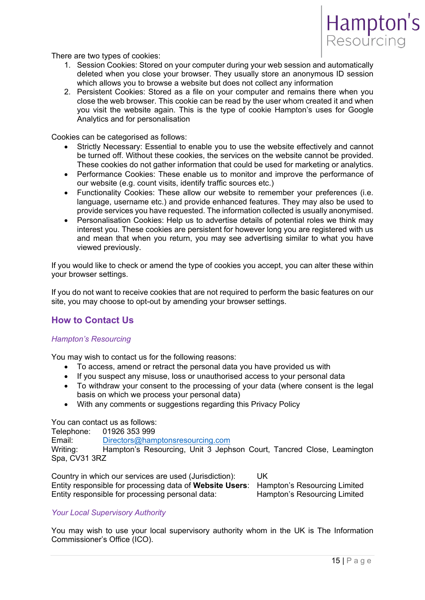

There are two types of cookies:

- 1. Session Cookies: Stored on your computer during your web session and automatically deleted when you close your browser. They usually store an anonymous ID session which allows you to browse a website but does not collect any information
- 2. Persistent Cookies: Stored as a file on your computer and remains there when you close the web browser. This cookie can be read by the user whom created it and when you visit the website again. This is the type of cookie Hampton's uses for Google Analytics and for personalisation

Cookies can be categorised as follows:

- Strictly Necessary: Essential to enable you to use the website effectively and cannot be turned off. Without these cookies, the services on the website cannot be provided. These cookies do not gather information that could be used for marketing or analytics.
- Performance Cookies: These enable us to monitor and improve the performance of our website (e.g. count visits, identify traffic sources etc.)
- Functionality Cookies: These allow our website to remember your preferences (i.e. language, username etc.) and provide enhanced features. They may also be used to provide services you have requested. The information collected is usually anonymised.
- Personalisation Cookies: Help us to advertise details of potential roles we think may interest you. These cookies are persistent for however long you are registered with us and mean that when you return, you may see advertising similar to what you have viewed previously.

If you would like to check or amend the type of cookies you accept, you can alter these within your browser settings.

If you do not want to receive cookies that are not required to perform the basic features on our site, you may choose to opt-out by amending your browser settings.

# **How to Contact Us**

#### *Hampton's Resourcing*

You may wish to contact us for the following reasons:

- To access, amend or retract the personal data you have provided us with
- If you suspect any misuse, loss or unauthorised access to your personal data
- To withdraw your consent to the processing of your data (where consent is the legal basis on which we process your personal data)
- With any comments or suggestions regarding this Privacy Policy

You can contact us as follows:

Telephone: 01926 353 999

Email: Directors@hamptonsresourcing.com

Writing: Hampton's Resourcing, Unit 3 Jephson Court, Tancred Close, Leamington Spa, CV31 3RZ

Country in which our services are used (Jurisdiction): UK Entity responsible for processing data of **Website Users**: Hampton's Resourcing Limited Entity responsible for processing personal data: Hampton's Resourcing Limited

#### *Your Local Supervisory Authority*

You may wish to use your local supervisory authority whom in the UK is The Information Commissioner's Office (ICO).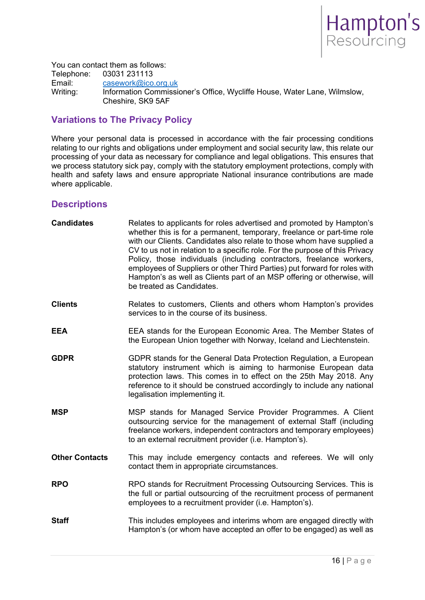

You can contact them as follows: Telephone: 03031 231113<br>Email: casework@ico. Email: casework@ico.org.uk<br>
Writing: Information Commissi Information Commissioner's Office, Wycliffe House, Water Lane, Wilmslow, Cheshire, SK9 5AF

# **Variations to The Privacy Policy**

Where your personal data is processed in accordance with the fair processing conditions relating to our rights and obligations under employment and social security law, this relate our processing of your data as necessary for compliance and legal obligations. This ensures that we process statutory sick pay, comply with the statutory employment protections, comply with health and safety laws and ensure appropriate National insurance contributions are made where applicable.

# **Descriptions**

| <b>Candidates</b>     | Relates to applicants for roles advertised and promoted by Hampton's<br>whether this is for a permanent, temporary, freelance or part-time role<br>with our Clients. Candidates also relate to those whom have supplied a<br>CV to us not in relation to a specific role. For the purpose of this Privacy<br>Policy, those individuals (including contractors, freelance workers,<br>employees of Suppliers or other Third Parties) put forward for roles with<br>Hampton's as well as Clients part of an MSP offering or otherwise, will<br>be treated as Candidates. |
|-----------------------|------------------------------------------------------------------------------------------------------------------------------------------------------------------------------------------------------------------------------------------------------------------------------------------------------------------------------------------------------------------------------------------------------------------------------------------------------------------------------------------------------------------------------------------------------------------------|
| <b>Clients</b>        | Relates to customers, Clients and others whom Hampton's provides<br>services to in the course of its business.                                                                                                                                                                                                                                                                                                                                                                                                                                                         |
| <b>EEA</b>            | EEA stands for the European Economic Area. The Member States of<br>the European Union together with Norway, Iceland and Liechtenstein.                                                                                                                                                                                                                                                                                                                                                                                                                                 |
| <b>GDPR</b>           | GDPR stands for the General Data Protection Regulation, a European<br>statutory instrument which is aiming to harmonise European data<br>protection laws. This comes in to effect on the 25th May 2018. Any<br>reference to it should be construed accordingly to include any national<br>legalisation implementing it.                                                                                                                                                                                                                                                |
| <b>MSP</b>            | MSP stands for Managed Service Provider Programmes. A Client<br>outsourcing service for the management of external Staff (including<br>freelance workers, independent contractors and temporary employees)<br>to an external recruitment provider (i.e. Hampton's).                                                                                                                                                                                                                                                                                                    |
| <b>Other Contacts</b> | This may include emergency contacts and referees. We will only<br>contact them in appropriate circumstances.                                                                                                                                                                                                                                                                                                                                                                                                                                                           |
| <b>RPO</b>            | RPO stands for Recruitment Processing Outsourcing Services. This is<br>the full or partial outsourcing of the recruitment process of permanent<br>employees to a recruitment provider (i.e. Hampton's).                                                                                                                                                                                                                                                                                                                                                                |
| <b>Staff</b>          | This includes employees and interims whom are engaged directly with<br>Hampton's (or whom have accepted an offer to be engaged) as well as                                                                                                                                                                                                                                                                                                                                                                                                                             |